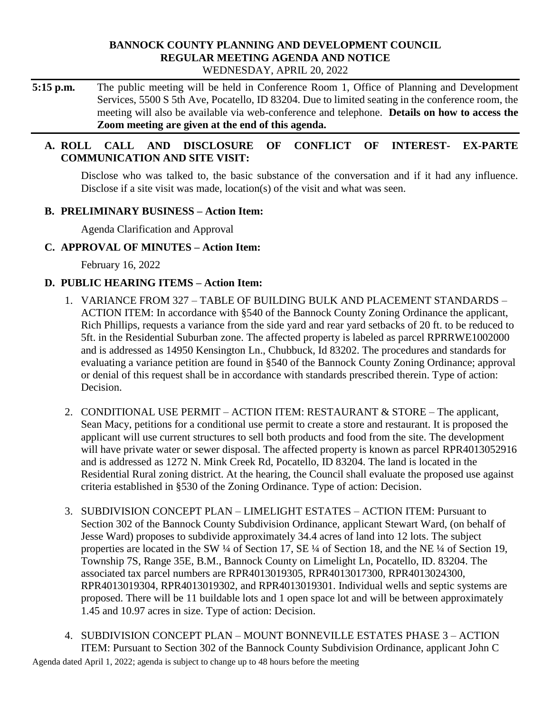### **BANNOCK COUNTY PLANNING AND DEVELOPMENT COUNCIL REGULAR MEETING AGENDA AND NOTICE** WEDNESDAY, APRIL 20, 2022

**5:15 p.m.** The public meeting will be held in Conference Room 1, Office of Planning and Development Services, 5500 S 5th Ave, Pocatello, ID 83204. Due to limited seating in the conference room, the meeting will also be available via web-conference and telephone. **Details on how to access the Zoom meeting are given at the end of this agenda.** 

## **A. ROLL CALL AND DISCLOSURE OF CONFLICT OF INTEREST- EX-PARTE COMMUNICATION AND SITE VISIT:**

Disclose who was talked to, the basic substance of the conversation and if it had any influence. Disclose if a site visit was made, location(s) of the visit and what was seen.

## **B. PRELIMINARY BUSINESS – Action Item:**

Agenda Clarification and Approval

## **C. APPROVAL OF MINUTES – Action Item:**

February 16, 2022

### **D. PUBLIC HEARING ITEMS – Action Item:**

- 1. VARIANCE FROM 327 TABLE OF BUILDING BULK AND PLACEMENT STANDARDS ACTION ITEM: In accordance with §540 of the Bannock County Zoning Ordinance the applicant, Rich Phillips, requests a variance from the side yard and rear yard setbacks of 20 ft. to be reduced to 5ft. in the Residential Suburban zone. The affected property is labeled as parcel RPRRWE1002000 and is addressed as 14950 Kensington Ln., Chubbuck, Id 83202. The procedures and standards for evaluating a variance petition are found in §540 of the Bannock County Zoning Ordinance; approval or denial of this request shall be in accordance with standards prescribed therein. Type of action: Decision.
- 2. CONDITIONAL USE PERMIT ACTION ITEM: RESTAURANT & STORE The applicant, Sean Macy, petitions for a conditional use permit to create a store and restaurant. It is proposed the applicant will use current structures to sell both products and food from the site. The development will have private water or sewer disposal. The affected property is known as parcel RPR4013052916 and is addressed as 1272 N. Mink Creek Rd, Pocatello, ID 83204. The land is located in the Residential Rural zoning district. At the hearing, the Council shall evaluate the proposed use against criteria established in §530 of the Zoning Ordinance. Type of action: Decision.
- 3. SUBDIVISION CONCEPT PLAN LIMELIGHT ESTATES ACTION ITEM: Pursuant to Section 302 of the Bannock County Subdivision Ordinance, applicant Stewart Ward, (on behalf of Jesse Ward) proposes to subdivide approximately 34.4 acres of land into 12 lots. The subject properties are located in the SW ¼ of Section 17, SE ¼ of Section 18, and the NE ¼ of Section 19, Township 7S, Range 35E, B.M., Bannock County on Limelight Ln, Pocatello, ID. 83204. The associated tax parcel numbers are RPR4013019305, RPR4013017300, RPR4013024300, RPR4013019304, RPR4013019302, and RPR4013019301. Individual wells and septic systems are proposed. There will be 11 buildable lots and 1 open space lot and will be between approximately 1.45 and 10.97 acres in size. Type of action: Decision.
- Agenda dated April 1, 2022; agenda is subject to change up to 48 hours before the meeting 4. SUBDIVISION CONCEPT PLAN – MOUNT BONNEVILLE ESTATES PHASE 3 – ACTION ITEM: Pursuant to Section 302 of the Bannock County Subdivision Ordinance, applicant John C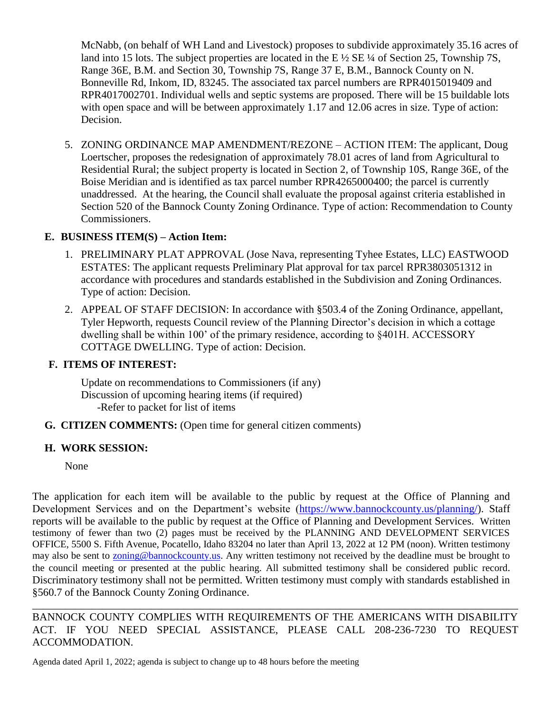McNabb, (on behalf of WH Land and Livestock) proposes to subdivide approximately 35.16 acres of land into 15 lots. The subject properties are located in the E  $\frac{1}{2}$  SE  $\frac{1}{4}$  of Section 25, Township 7S, Range 36E, B.M. and Section 30, Township 7S, Range 37 E, B.M., Bannock County on N. Bonneville Rd, Inkom, ID, 83245. The associated tax parcel numbers are RPR4015019409 and RPR4017002701. Individual wells and septic systems are proposed. There will be 15 buildable lots with open space and will be between approximately 1.17 and 12.06 acres in size. Type of action: Decision.

5. ZONING ORDINANCE MAP AMENDMENT/REZONE – ACTION ITEM: The applicant, Doug Loertscher, proposes the redesignation of approximately 78.01 acres of land from Agricultural to Residential Rural; the subject property is located in Section 2, of Township 10S, Range 36E, of the Boise Meridian and is identified as tax parcel number RPR4265000400; the parcel is currently unaddressed. At the hearing, the Council shall evaluate the proposal against criteria established in Section 520 of the Bannock County Zoning Ordinance. Type of action: Recommendation to County Commissioners.

# **E. BUSINESS ITEM(S) – Action Item:**

- 1. PRELIMINARY PLAT APPROVAL (Jose Nava, representing Tyhee Estates, LLC) EASTWOOD ESTATES: The applicant requests Preliminary Plat approval for tax parcel RPR3803051312 in accordance with procedures and standards established in the Subdivision and Zoning Ordinances. Type of action: Decision.
- 2. APPEAL OF STAFF DECISION: In accordance with §503.4 of the Zoning Ordinance, appellant, Tyler Hepworth, requests Council review of the Planning Director's decision in which a cottage dwelling shall be within 100' of the primary residence, according to §401H. ACCESSORY COTTAGE DWELLING. Type of action: Decision.

## **F. ITEMS OF INTEREST:**

Update on recommendations to Commissioners (if any) Discussion of upcoming hearing items (if required) -Refer to packet for list of items

**G. CITIZEN COMMENTS:** (Open time for general citizen comments)

# **H. WORK SESSION:**

None

The application for each item will be available to the public by request at the Office of Planning and Development Services and on the Department's website [\(https://www.bannockcounty.us/planning/\)](https://www.bannockcounty.us/planning/). Staff reports will be available to the public by request at the Office of Planning and Development Services. Written testimony of fewer than two (2) pages must be received by the PLANNING AND DEVELOPMENT SERVICES OFFICE, 5500 S. Fifth Avenue, Pocatello, Idaho 83204 no later than April 13, 2022 at 12 PM (noon). Written testimony may also be sent to **zoning@bannockcounty.us**. Any written testimony not received by the deadline must be brought to the council meeting or presented at the public hearing. All submitted testimony shall be considered public record. Discriminatory testimony shall not be permitted. Written testimony must comply with standards established in §560.7 of the Bannock County Zoning Ordinance.

BANNOCK COUNTY COMPLIES WITH REQUIREMENTS OF THE AMERICANS WITH DISABILITY ACT. IF YOU NEED SPECIAL ASSISTANCE, PLEASE CALL 208-236-7230 TO REQUEST ACCOMMODATION.

\_\_\_\_\_\_\_\_\_\_\_\_\_\_\_\_\_\_\_\_\_\_\_\_\_\_\_\_\_\_\_\_\_\_\_\_\_\_\_\_\_\_\_\_\_\_\_\_\_\_\_\_\_\_\_\_\_\_\_\_\_\_\_\_\_\_\_\_\_\_\_\_\_\_\_\_\_\_\_\_\_\_\_\_\_\_\_\_\_\_

Agenda dated April 1, 2022; agenda is subject to change up to 48 hours before the meeting